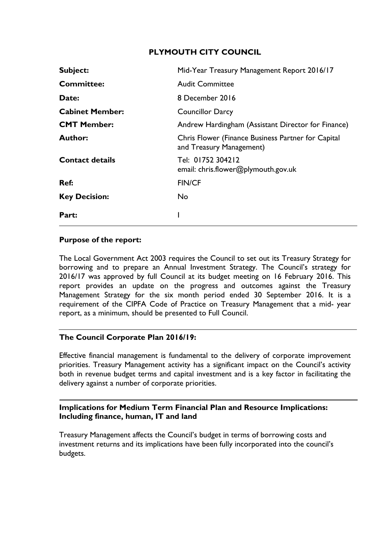# **PLYMOUTH CITY COUNCIL**

| Subject:               | Mid-Year Treasury Management Report 2016/17                                    |
|------------------------|--------------------------------------------------------------------------------|
| <b>Committee:</b>      | <b>Audit Committee</b>                                                         |
| Date:                  | 8 December 2016                                                                |
| <b>Cabinet Member:</b> | <b>Councillor Darcy</b>                                                        |
| <b>CMT Member:</b>     | Andrew Hardingham (Assistant Director for Finance)                             |
| <b>Author:</b>         | Chris Flower (Finance Business Partner for Capital<br>and Treasury Management) |
| <b>Contact details</b> | Tel: 01752 304212<br>email: chris.flower@plymouth.gov.uk                       |
| Ref:                   | <b>FIN/CF</b>                                                                  |
| <b>Key Decision:</b>   | No                                                                             |
| Part:                  |                                                                                |

### **Purpose of the report:**

The Local Government Act 2003 requires the Council to set out its Treasury Strategy for borrowing and to prepare an Annual Investment Strategy. The Council's strategy for 2016/17 was approved by full Council at its budget meeting on 16 February 2016. This report provides an update on the progress and outcomes against the Treasury Management Strategy for the six month period ended 30 September 2016. It is a requirement of the CIPFA Code of Practice on Treasury Management that a mid- year report, as a minimum, should be presented to Full Council.

### **The Council Corporate Plan 2016/19:**

Effective financial management is fundamental to the delivery of corporate improvement priorities. Treasury Management activity has a significant impact on the Council's activity both in revenue budget terms and capital investment and is a key factor in facilitating the delivery against a number of corporate priorities.

# **Implications for Medium Term Financial Plan and Resource Implications: Including finance, human, IT and land**

Treasury Management affects the Council's budget in terms of borrowing costs and investment returns and its implications have been fully incorporated into the council's budgets.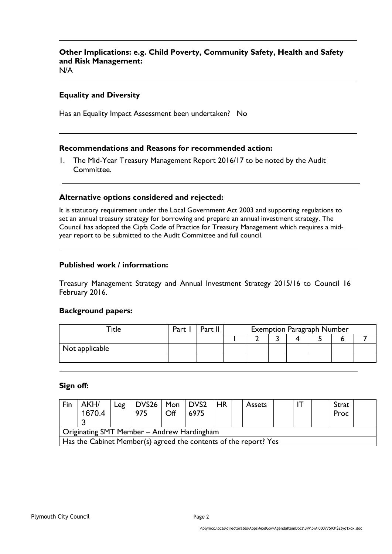# **Other Implications: e.g. Child Poverty, Community Safety, Health and Safety and Risk Management:**

N/A

#### **Equality and Diversity**

Has an Equality Impact Assessment been undertaken? No

#### **Recommendations and Reasons for recommended action:**

1. The Mid-Year Treasury Management Report 2016/17 to be noted by the Audit Committee.

#### **Alternative options considered and rejected:**

It is statutory requirement under the Local Government Act 2003 and supporting regulations to set an annual treasury strategy for borrowing and prepare an annual investment strategy. The Council has adopted the Cipfa Code of Practice for Treasury Management which requires a midyear report to be submitted to the Audit Committee and full council.

#### **Published work / information:**

Treasury Management Strategy and Annual Investment Strategy 2015/16 to Council 16 February 2016.

#### **Background papers:**

| $\mathsf{raise}$ | Part | Part II | <b>Exemption Paragraph Number</b> |  |  |  |  |  |  |
|------------------|------|---------|-----------------------------------|--|--|--|--|--|--|
|                  |      |         |                                   |  |  |  |  |  |  |
| Not applicable   |      |         |                                   |  |  |  |  |  |  |
|                  |      |         |                                   |  |  |  |  |  |  |

#### **Sign off:**

| Fin                                                              | AKH/<br>1670.4                             | Leg | $DVS26$   Mon   DVS2<br>975 | Off | 6975 | <b>HR</b> |  | <b>Assets</b> |  |  |  | Strat<br>Proc |  |
|------------------------------------------------------------------|--------------------------------------------|-----|-----------------------------|-----|------|-----------|--|---------------|--|--|--|---------------|--|
|                                                                  | Originating SMT Member - Andrew Hardingham |     |                             |     |      |           |  |               |  |  |  |               |  |
| Has the Cabinet Member(s) agreed the contents of the report? Yes |                                            |     |                             |     |      |           |  |               |  |  |  |               |  |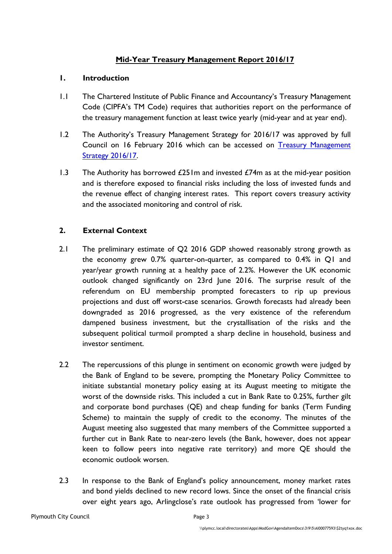# **Mid-Year Treasury Management Report 2016/17**

### **1. Introduction**

- 1.1 The Chartered Institute of Public Finance and Accountancy's Treasury Management Code (CIPFA's TM Code) requires that authorities report on the performance of the treasury management function at least twice yearly (mid-year and at year end).
- 1.2 The Authority's Treasury Management Strategy for 2016/17 was approved by full Council on 16 February 2016 which can be accessed on Treasury [Management](Treasury%20Management%20Strategy%202016-17%20final%20for%20Cabinet.doc) [Strategy](Treasury%20Management%20Strategy%202016-17%20final%20for%20Cabinet.doc) 2016/17.
- 1.3 The Authority has borrowed  $£251m$  and invested  $£74m$  as at the mid-year position and is therefore exposed to financial risks including the loss of invested funds and the revenue effect of changing interest rates. This report covers treasury activity and the associated monitoring and control of risk.

# **2. External Context**

- 2.1 The preliminary estimate of Q2 2016 GDP showed reasonably strong growth as the economy grew 0.7% quarter-on-quarter, as compared to 0.4% in Q1 and year/year growth running at a healthy pace of 2.2%. However the UK economic outlook changed significantly on 23rd June 2016. The surprise result of the referendum on EU membership prompted forecasters to rip up previous projections and dust off worst-case scenarios. Growth forecasts had already been downgraded as 2016 progressed, as the very existence of the referendum dampened business investment, but the crystallisation of the risks and the subsequent political turmoil prompted a sharp decline in household, business and investor sentiment.
- 2.2 The repercussions of this plunge in sentiment on economic growth were judged by the Bank of England to be severe, prompting the Monetary Policy Committee to initiate substantial monetary policy easing at its August meeting to mitigate the worst of the downside risks. This included a cut in Bank Rate to 0.25%, further gilt and corporate bond purchases (QE) and cheap funding for banks (Term Funding Scheme) to maintain the supply of credit to the economy. The minutes of the August meeting also suggested that many members of the Committee supported a further cut in Bank Rate to near-zero levels (the Bank, however, does not appear keen to follow peers into negative rate territory) and more QE should the economic outlook worsen.
- 2.3 In response to the Bank of England's policy announcement, money market rates and bond yields declined to new record lows. Since the onset of the financial crisis over eight years ago, Arlingclose's rate outlook has progressed from 'lower for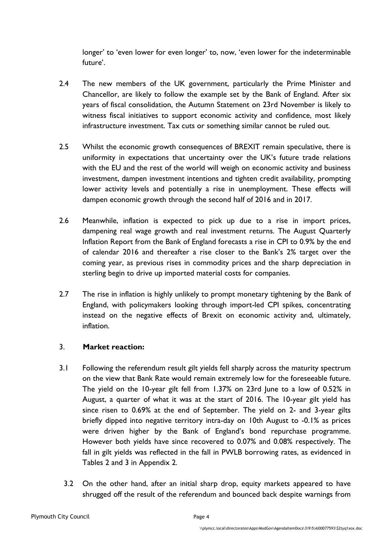longer' to 'even lower for even longer' to, now, 'even lower for the indeterminable future'.

- 2.4 The new members of the UK government, particularly the Prime Minister and Chancellor, are likely to follow the example set by the Bank of England. After six years of fiscal consolidation, the Autumn Statement on 23rd November is likely to witness fiscal initiatives to support economic activity and confidence, most likely infrastructure investment. Tax cuts or something similar cannot be ruled out.
- 2.5 Whilst the economic growth consequences of BREXIT remain speculative, there is uniformity in expectations that uncertainty over the UK's future trade relations with the EU and the rest of the world will weigh on economic activity and business investment, dampen investment intentions and tighten credit availability, prompting lower activity levels and potentially a rise in unemployment. These effects will dampen economic growth through the second half of 2016 and in 2017.
- 2.6 Meanwhile, inflation is expected to pick up due to a rise in import prices, dampening real wage growth and real investment returns. The August Quarterly Inflation Report from the Bank of England forecasts a rise in CPI to 0.9% by the end of calendar 2016 and thereafter a rise closer to the Bank's 2% target over the coming year, as previous rises in commodity prices and the sharp depreciation in sterling begin to drive up imported material costs for companies.
- 2.7 The rise in inflation is highly unlikely to prompt monetary tightening by the Bank of England, with policymakers looking through import-led CPI spikes, concentrating instead on the negative effects of Brexit on economic activity and, ultimately, inflation.

# 3. **Market reaction:**

- 3.1 Following the referendum result gilt yields fell sharply across the maturity spectrum on the view that Bank Rate would remain extremely low for the foreseeable future. The yield on the 10-year gilt fell from 1.37% on 23rd June to a low of 0.52% in August, a quarter of what it was at the start of 2016. The 10-year gilt yield has since risen to 0.69% at the end of September. The yield on 2- and 3-year gilts briefly dipped into negative territory intra-day on 10th August to -0.1% as prices were driven higher by the Bank of England's bond repurchase programme. However both yields have since recovered to 0.07% and 0.08% respectively. The fall in gilt yields was reflected in the fall in PWLB borrowing rates, as evidenced in Tables 2 and 3 in Appendix 2.
	- 3.2 On the other hand, after an initial sharp drop, equity markets appeared to have shrugged off the result of the referendum and bounced back despite warnings from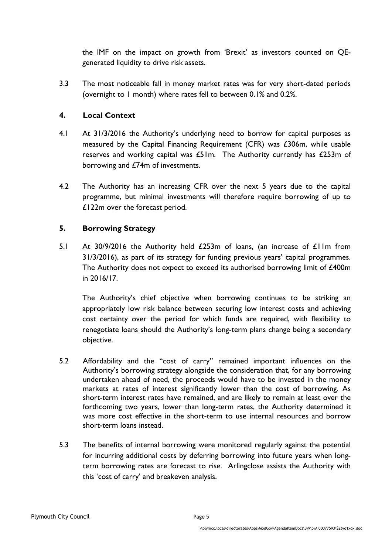the IMF on the impact on growth from 'Brexit' as investors counted on QEgenerated liquidity to drive risk assets.

3.3 The most noticeable fall in money market rates was for very short-dated periods (overnight to 1 month) where rates fell to between 0.1% and 0.2%.

# **4. Local Context**

- 4.1 At 31/3/2016 the Authority's underlying need to borrow for capital purposes as measured by the Capital Financing Requirement (CFR) was £306m, while usable reserves and working capital was £51m. The Authority currently has £253m of borrowing and £74m of investments.
- 4.2 The Authority has an increasing CFR over the next 5 years due to the capital programme, but minimal investments will therefore require borrowing of up to £122m over the forecast period.

# **5. Borrowing Strategy**

5.1 At 30/9/2016 the Authority held £253m of loans, (an increase of £11m from 31/3/2016), as part of its strategy for funding previous years' capital programmes. The Authority does not expect to exceed its authorised borrowing limit of £400m in 2016/17.

The Authority's chief objective when borrowing continues to be striking an appropriately low risk balance between securing low interest costs and achieving cost certainty over the period for which funds are required, with flexibility to renegotiate loans should the Authority's long-term plans change being a secondary objective.

- 5.2 Affordability and the "cost of carry" remained important influences on the Authority's borrowing strategy alongside the consideration that, for any borrowing undertaken ahead of need, the proceeds would have to be invested in the money markets at rates of interest significantly lower than the cost of borrowing. As short-term interest rates have remained, and are likely to remain at least over the forthcoming two years, lower than long-term rates, the Authority determined it was more cost effective in the short-term to use internal resources and borrow short-term loans instead.
- 5.3 The benefits of internal borrowing were monitored regularly against the potential for incurring additional costs by deferring borrowing into future years when longterm borrowing rates are forecast to rise. Arlingclose assists the Authority with this 'cost of carry' and breakeven analysis.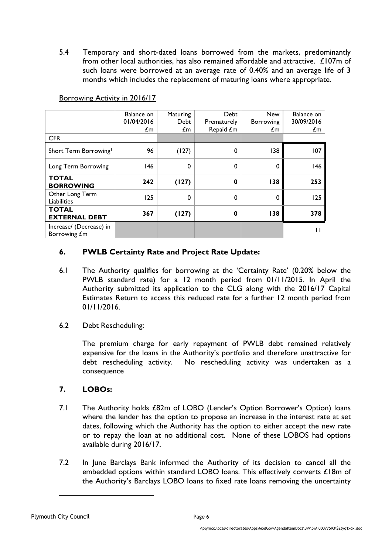5.4 Temporary and short-dated loans borrowed from the markets, predominantly from other local authorities, has also remained affordable and attractive. £107m of such loans were borrowed at an average rate of 0.40% and an average life of 3 months which includes the replacement of maturing loans where appropriate.

| <b>CFR</b>                              | Balance on<br>01/04/2016<br>$\mathcal{L}$ m | Maturing<br>Debt<br>£m | <b>Debt</b><br>Prematurely<br>Repaid £m | <b>New</b><br><b>Borrowing</b><br>£m | Balance on<br>30/09/2016<br>£m |
|-----------------------------------------|---------------------------------------------|------------------------|-----------------------------------------|--------------------------------------|--------------------------------|
| Short Term Borrowing <sup>1</sup>       | 96                                          | (127)                  | 0                                       | 138                                  | 107                            |
| Long Term Borrowing                     | 146                                         | 0                      | $\mathbf 0$                             | 0                                    | 146                            |
| <b>TOTAL</b><br><b>BORROWING</b>        | 242                                         | (127)                  | $\mathbf 0$                             | 138                                  | 253                            |
| Other Long Term<br>Liabilities          | 125                                         | 0                      | $\mathbf 0$                             | 0                                    | 125                            |
| <b>TOTAL</b><br><b>EXTERNAL DEBT</b>    | 367                                         | (127)                  | $\bf{0}$                                | 138                                  | 378                            |
| Increase/ (Decrease) in<br>Borrowing £m |                                             |                        |                                         |                                      | Ш                              |

### Borrowing Activity in 2016/17

# **6. PWLB Certainty Rate and Project Rate Update:**

- 6.1 The Authority qualifies for borrowing at the 'Certainty Rate' (0.20% below the PWLB standard rate) for a 12 month period from 01/11/2015. In April the Authority submitted its application to the CLG along with the 2016/17 Capital Estimates Return to access this reduced rate for a further 12 month period from 01/11/2016.
- 6.2 Debt Rescheduling:

The premium charge for early repayment of PWLB debt remained relatively expensive for the loans in the Authority's portfolio and therefore unattractive for debt rescheduling activity. No rescheduling activity was undertaken as a consequence

# **7. LOBOs:**

- 7.1 The Authority holds £82m of LOBO (Lender's Option Borrower's Option) loans where the lender has the option to propose an increase in the interest rate at set dates, following which the Authority has the option to either accept the new rate or to repay the loan at no additional cost. None of these LOBOS had options available during 2016/17.
- 7.2 In June Barclays Bank informed the Authority of its decision to cancel all the embedded options within standard LOBO loans. This effectively converts £18m of the Authority's Barclays LOBO loans to fixed rate loans removing the uncertainty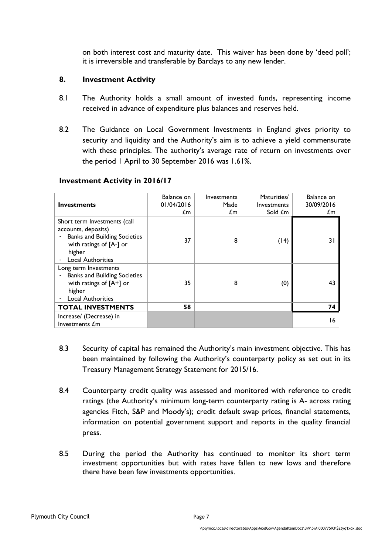on both interest cost and maturity date. This waiver has been done by 'deed poll'; it is irreversible and transferable by Barclays to any new lender.

# **8. Investment Activity**

- 8.1 The Authority holds a small amount of invested funds, representing income received in advance of expenditure plus balances and reserves held.
- 8.2 The Guidance on Local Government Investments in England gives priority to security and liquidity and the Authority's aim is to achieve a yield commensurate with these principles. The authority's average rate of return on investments over the period 1 April to 30 September 2016 was 1.61%.

| <b>Investments</b>                                                                                                                                          | Balance on<br>01/04/2016<br>£m | <b>Investments</b><br>Made<br>£m. | Maturities/<br><b>Investments</b><br>Sold <i>f</i> m | Balance on<br>30/09/2016<br>£m |
|-------------------------------------------------------------------------------------------------------------------------------------------------------------|--------------------------------|-----------------------------------|------------------------------------------------------|--------------------------------|
| Short term Investments (call<br>accounts, deposits)<br><b>Banks and Building Societies</b><br>with ratings of [A-] or<br>higher<br><b>Local Authorities</b> | 37                             | 8                                 | (14)                                                 | $\overline{3}$                 |
| Long term Investments<br><b>Banks and Building Societies</b><br>with ratings of $[A+]$ or<br>higher<br><b>Local Authorities</b>                             | 35                             | 8                                 | (0)                                                  | 43                             |
| <b>TOTAL INVESTMENTS</b>                                                                                                                                    | 58                             |                                   |                                                      | 74                             |
| Increase/ (Decrease) in<br>Investments £m                                                                                                                   |                                |                                   |                                                      | 16                             |

# **Investment Activity in 2016/17**

- 8.3 Security of capital has remained the Authority's main investment objective. This has been maintained by following the Authority's counterparty policy as set out in its Treasury Management Strategy Statement for 2015/16.
- 8.4 Counterparty credit quality was assessed and monitored with reference to credit ratings (the Authority's minimum long-term counterparty rating is A- across rating agencies Fitch, S&P and Moody's); credit default swap prices, financial statements, information on potential government support and reports in the quality financial press.
- 8.5 During the period the Authority has continued to monitor its short term investment opportunities but with rates have fallen to new lows and therefore there have been few investments opportunities.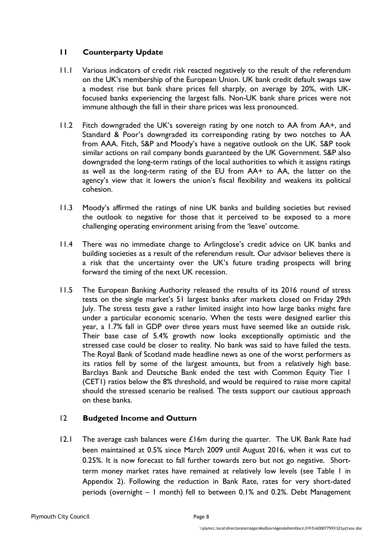# **11 Counterparty Update**

- 11.1 Various indicators of credit risk reacted negatively to the result of the referendum on the UK's membership of the European Union. UK bank credit default swaps saw a modest rise but bank share prices fell sharply, on average by 20%, with UKfocused banks experiencing the largest falls. Non-UK bank share prices were not immune although the fall in their share prices was less pronounced.
- 11.2 Fitch downgraded the UK's sovereign rating by one notch to AA from AA+, and Standard & Poor's downgraded its corresponding rating by two notches to AA from AAA. Fitch, S&P and Moody's have a negative outlook on the UK. S&P took similar actions on rail company bonds guaranteed by the UK Government. S&P also downgraded the long-term ratings of the local authorities to which it assigns ratings as well as the long-term rating of the EU from AA+ to AA, the latter on the agency's view that it lowers the union's fiscal flexibility and weakens its political cohesion.
- 11.3 Moody's affirmed the ratings of nine UK banks and building societies but revised the outlook to negative for those that it perceived to be exposed to a more challenging operating environment arising from the 'leave' outcome.
- 11.4 There was no immediate change to Arlingclose's credit advice on UK banks and building societies as a result of the referendum result. Our advisor believes there is a risk that the uncertainty over the UK's future trading prospects will bring forward the timing of the next UK recession.
- 11.5 The European Banking Authority released the results of its 2016 round of stress tests on the single market's 51 largest banks after markets closed on Friday 29th July. The stress tests gave a rather limited insight into how large banks might fare under a particular economic scenario. When the tests were designed earlier this year, a 1.7% fall in GDP over three years must have seemed like an outside risk. Their base case of 5.4% growth now looks exceptionally optimistic and the stressed case could be closer to reality. No bank was said to have failed the tests. The Royal Bank of Scotland made headline news as one of the worst performers as its ratios fell by some of the largest amounts, but from a relatively high base. Barclays Bank and Deutsche Bank ended the test with Common Equity Tier 1 (CET1) ratios below the 8% threshold, and would be required to raise more capital should the stressed scenario be realised. The tests support our cautious approach on these banks.

# 12 **Budgeted Income and Outturn**

12.1 The average cash balances were  $\pounds$ 16m during the quarter. The UK Bank Rate had been maintained at 0.5% since March 2009 until August 2016, when it was cut to 0.25%. It is now forecast to fall further towards zero but not go negative. Shortterm money market rates have remained at relatively low levels (see Table 1 in Appendix 2). Following the reduction in Bank Rate, rates for very short-dated periods (overnight – 1 month) fell to between 0.1% and 0.2%. Debt Management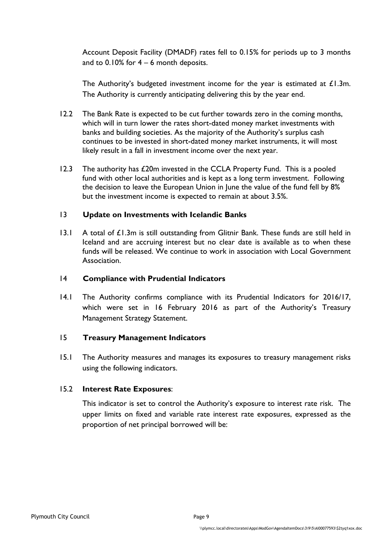Account Deposit Facility (DMADF) rates fell to 0.15% for periods up to 3 months and to  $0.10\%$  for  $4 - 6$  month deposits.

The Authority's budgeted investment income for the year is estimated at  $£1.3m$ . The Authority is currently anticipating delivering this by the year end.

- 12.2 The Bank Rate is expected to be cut further towards zero in the coming months, which will in turn lower the rates short-dated money market investments with banks and building societies. As the majority of the Authority's surplus cash continues to be invested in short-dated money market instruments, it will most likely result in a fall in investment income over the next year.
- 12.3 The authority has £20m invested in the CCLA Property Fund. This is a pooled fund with other local authorities and is kept as a long term investment. Following the decision to leave the European Union in June the value of the fund fell by 8% but the investment income is expected to remain at about 3.5%.

### 13 **Update on Investments with Icelandic Banks**

13.1 A total of £1.3m is still outstanding from Glitnir Bank. These funds are still held in Iceland and are accruing interest but no clear date is available as to when these funds will be released. We continue to work in association with Local Government Association.

### 14 **Compliance with Prudential Indicators**

14.1 The Authority confirms compliance with its Prudential Indicators for 2016/17, which were set in 16 February 2016 as part of the Authority's Treasury Management Strategy Statement.

### 15 **Treasury Management Indicators**

15.1 The Authority measures and manages its exposures to treasury management risks using the following indicators.

### 15.2 **Interest Rate Exposures**:

This indicator is set to control the Authority's exposure to interest rate risk. The upper limits on fixed and variable rate interest rate exposures, expressed as the proportion of net principal borrowed will be: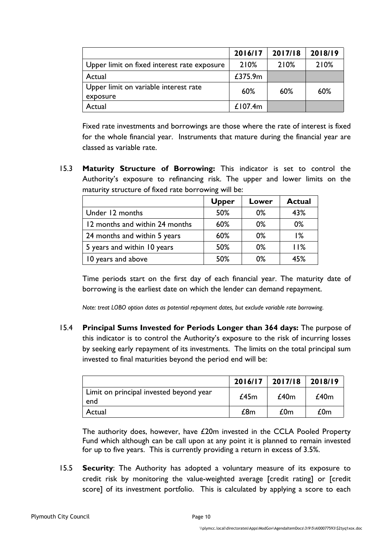|                                             | 2016/17    | 2017/18 | 2018/19 |
|---------------------------------------------|------------|---------|---------|
| Upper limit on fixed interest rate exposure | 210%       | 210%    | 210%    |
| Actual                                      | £375.9m    |         |         |
| Upper limit on variable interest rate       | 60%        | 60%     | 60%     |
| exposure                                    |            |         |         |
| Actual                                      | £107.4 $m$ |         |         |

Fixed rate investments and borrowings are those where the rate of interest is fixed for the whole financial year. Instruments that mature during the financial year are classed as variable rate.

15.3 **Maturity Structure of Borrowing:** This indicator is set to control the Authority's exposure to refinancing risk. The upper and lower limits on the maturity structure of fixed rate borrowing will be:

|                                | <b>Upper</b> | Lower | <b>Actual</b> |
|--------------------------------|--------------|-------|---------------|
| Under 12 months                | 50%          | 0%    | 43%           |
| 12 months and within 24 months | 60%          | 0%    | 0%            |
| 24 months and within 5 years   | 60%          | 0%    | $1\%$         |
| 5 years and within 10 years    | 50%          | 0%    | 11%           |
| 10 years and above             | 50%          | $0\%$ | 45%           |

Time periods start on the first day of each financial year. The maturity date of borrowing is the earliest date on which the lender can demand repayment.

*Note: treat LOBO option dates as potential repayment dates, but exclude variable rate borrowing.*

15.4 **Principal Sums Invested for Periods Longer than 364 days:** The purpose of this indicator is to control the Authority's exposure to the risk of incurring losses by seeking early repayment of its investments. The limits on the total principal sum invested to final maturities beyond the period end will be:

|                                                | $2016/17$ 2017/18 |      | 2018/19 |
|------------------------------------------------|-------------------|------|---------|
| Limit on principal invested beyond year<br>end | £45m              | £40m | £40m    |
| Actual                                         | £8m               | £0m  | £0m     |

The authority does, however, have £20m invested in the CCLA Pooled Property Fund which although can be call upon at any point it is planned to remain invested for up to five years. This is currently providing a return in excess of 3.5%.

15.5 **Security**: The Authority has adopted a voluntary measure of its exposure to credit risk by monitoring the value-weighted average [credit rating] or [credit score] of its investment portfolio. This is calculated by applying a score to each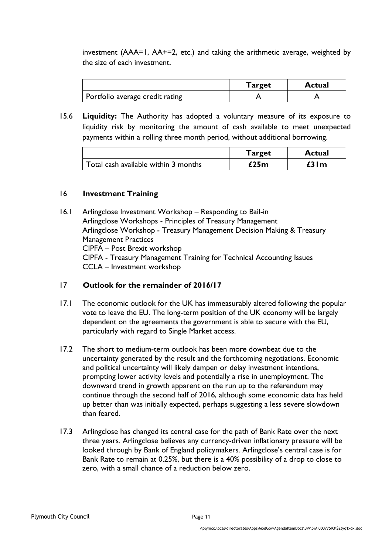investment (AAA=1, AA+=2, etc.) and taking the arithmetic average, weighted by the size of each investment.

|                                 | <b>Target</b> | <b>Actual</b> |
|---------------------------------|---------------|---------------|
| Portfolio average credit rating |               |               |

15.6 **Liquidity:** The Authority has adopted a voluntary measure of its exposure to liquidity risk by monitoring the amount of cash available to meet unexpected payments within a rolling three month period, without additional borrowing.

|                                      | <b>Target</b> | <b>Actual</b> |
|--------------------------------------|---------------|---------------|
| Total cash available within 3 months | £25 $m$       | £31m          |

## 16 **Investment Training**

16.1 Arlingclose Investment Workshop – Responding to Bail-in Arlingclose Workshops - Principles of Treasury Management Arlingclose Workshop - Treasury Management Decision Making & Treasury Management Practices CIPFA – Post Brexit workshop CIPFA - Treasury Management Training for Technical Accounting Issues CCLA – Investment workshop

# 17 **Outlook for the remainder of 2016/17**

- 17.1 The economic outlook for the UK has immeasurably altered following the popular vote to leave the EU. The long-term position of the UK economy will be largely dependent on the agreements the government is able to secure with the EU, particularly with regard to Single Market access.
- 17.2 The short to medium-term outlook has been more downbeat due to the uncertainty generated by the result and the forthcoming negotiations. Economic and political uncertainty will likely dampen or delay investment intentions, prompting lower activity levels and potentially a rise in unemployment. The downward trend in growth apparent on the run up to the referendum may continue through the second half of 2016, although some economic data has held up better than was initially expected, perhaps suggesting a less severe slowdown than feared.
- 17.3 Arlingclose has changed its central case for the path of Bank Rate over the next three years. Arlingclose believes any currency-driven inflationary pressure will be looked through by Bank of England policymakers. Arlingclose's central case is for Bank Rate to remain at 0.25%, but there is a 40% possibility of a drop to close to zero, with a small chance of a reduction below zero.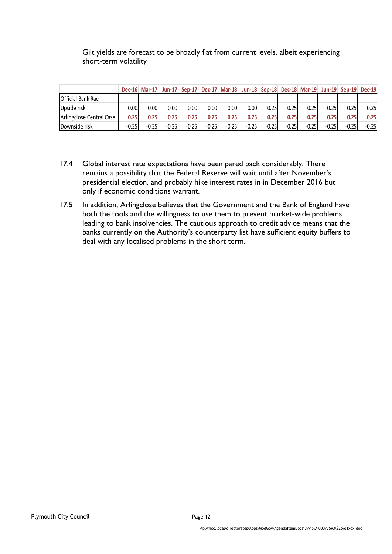# Gilt yields are forecast to be broadly flat from current levels, albeit experiencing short-term volatility

|                          | $Dec-16$ | <b>Mar-17</b> | $ un-17 $         | Sep-17  |         | Dec-17 Mar-18 |          | <b>Jun-18 Sep-18</b> |          | <b>Dec-18 Mar-19</b> | $Jun-19$ | $Sen-19$ | <b>Dec-19</b> |
|--------------------------|----------|---------------|-------------------|---------|---------|---------------|----------|----------------------|----------|----------------------|----------|----------|---------------|
| <b>Official Bank Rae</b> |          |               |                   |         |         |               |          |                      |          |                      |          |          |               |
| Upside risk              | 0.00     | 0.001         | 0.00 <sub>l</sub> | 0.001   | 0.001   | 0.00          | $0.00\,$ | 0.25                 | $0.25$ l | 0.25                 | 0.25     | 0.25     | 0.25          |
| Arlingclose Central Case | 0.25     | 0.25          | 0.25              | 0.25    | 0.25    | 0.25          | 0.25     | 0.25                 | 0.25     | 0.25                 | 0.25     | 0.251    | 0.25          |
| Downside risk            | $-0.25$  | $-0.25$       | $-0.25$           | $-0.25$ | $-0.25$ | $-0.25$       | $-0.25$  | $-0.25$              | $-0.25$  | $-0.25$              | $-0.25$  | $-0.25$  | $-0.25$       |

- 17.4 Global interest rate expectations have been pared back considerably. There remains a possibility that the Federal Reserve will wait until after November's presidential election, and probably hike interest rates in in December 2016 but only if economic conditions warrant.
- 17.5 In addition, Arlingclose believes that the Government and the Bank of England have both the tools and the willingness to use them to prevent market-wide problems leading to bank insolvencies. The cautious approach to credit advice means that the banks currently on the Authority's counterparty list have sufficient equity buffers to deal with any localised problems in the short term.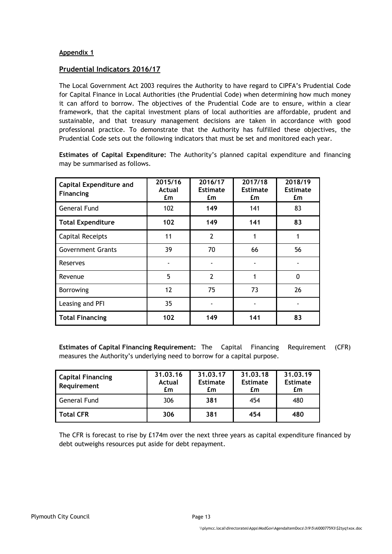#### **Appendix 1**

#### **Prudential Indicators 2016/17**

The Local Government Act 2003 requires the Authority to have regard to CIPFA's Prudential Code for Capital Finance in Local Authorities (the Prudential Code) when determining how much money it can afford to borrow. The objectives of the Prudential Code are to ensure, within a clear framework, that the capital investment plans of local authorities are affordable, prudent and sustainable, and that treasury management decisions are taken in accordance with good professional practice. To demonstrate that the Authority has fulfilled these objectives, the Prudential Code sets out the following indicators that must be set and monitored each year.

**Estimates of Capital Expenditure:** The Authority's planned capital expenditure and financing may be summarised as follows.

| <b>Capital Expenditure and</b><br><b>Financing</b> | 2015/16<br>Actual<br>£m | 2016/17<br><b>Estimate</b><br>£m | 2017/18<br><b>Estimate</b><br>£m | 2018/19<br><b>Estimate</b><br>£m |
|----------------------------------------------------|-------------------------|----------------------------------|----------------------------------|----------------------------------|
| <b>General Fund</b>                                | 102                     | 149                              | 141                              | 83                               |
| <b>Total Expenditure</b>                           | 102                     | 149                              | 141                              | 83                               |
| <b>Capital Receipts</b>                            | 11                      | $\overline{2}$                   |                                  |                                  |
| <b>Government Grants</b>                           | 39                      | 70                               | 66                               | 56                               |
| Reserves                                           |                         |                                  |                                  |                                  |
| Revenue                                            | 5                       | $\overline{2}$                   | 1                                | $\Omega$                         |
| Borrowing                                          | 12                      | 75                               | 73                               | 26                               |
| Leasing and PFI                                    | 35                      |                                  |                                  |                                  |
| <b>Total Financing</b>                             | 102                     | 149                              | 141                              | 83                               |

**Estimates of Capital Financing Requirement:** The Capital Financing Requirement (CFR) measures the Authority's underlying need to borrow for a capital purpose.

| <b>Capital Financing</b><br>Requirement | 31.03.16<br>Actual<br>£m | 31.03.17<br><b>Estimate</b><br>£m | 31.03.18<br><b>Estimate</b><br>£m | 31.03.19<br><b>Estimate</b><br>£m |
|-----------------------------------------|--------------------------|-----------------------------------|-----------------------------------|-----------------------------------|
| General Fund                            | 306                      | 381                               | 454                               | 480                               |
| <b>Total CFR</b>                        | 306                      | 381                               | 454                               | 480                               |

The CFR is forecast to rise by £174m over the next three years as capital expenditure financed by debt outweighs resources put aside for debt repayment.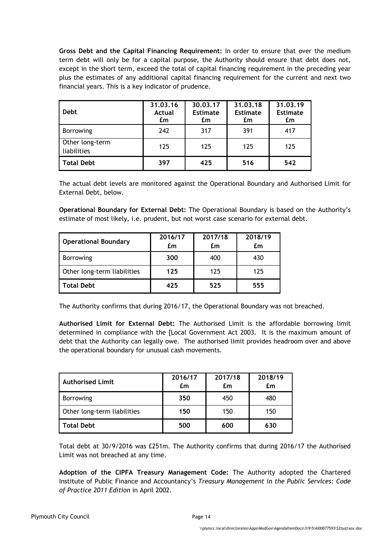**Gross Debt and the Capital Financing Requirement:** In order to ensure that over the medium term debt will only be for a capital purpose, the Authority should ensure that debt does not, except in the short term, exceed the total of capital financing requirement in the preceding year plus the estimates of any additional capital financing requirement for the current and next two financial years. This is a key indicator of prudence.

| <b>Debt</b>                    | 31.03.16<br><b>Actual</b><br>£m | 30.03.17<br><b>Estimate</b><br>£m | 31.03.18<br><b>Estimate</b><br>£m | 31.03.19<br><b>Estimate</b><br>£m |
|--------------------------------|---------------------------------|-----------------------------------|-----------------------------------|-----------------------------------|
| <b>Borrowing</b>               | 242                             | 317                               | 391                               | 417                               |
| Other long-term<br>liabilities | 125                             | 125                               | 125                               | 125                               |
| <b>Total Debt</b>              | 397                             | 425                               | 516                               | 542                               |

The actual debt levels are monitored against the Operational Boundary and Authorised Limit for External Debt, below.

**Operational Boundary for External Debt:** The Operational Boundary is based on the Authority's estimate of most likely, i.e. prudent, but not worst case scenario for external debt.

| <b>Operational Boundary</b> | 2016/17<br>£m | 2017/18<br>£m | 2018/19<br>£m |
|-----------------------------|---------------|---------------|---------------|
| <b>Borrowing</b>            | 300           | 400           | 430           |
|                             |               |               |               |
| Other long-term liabilities | 125           | 125           | 125           |
| <b>Total Debt</b>           | 425           | 525           | 555           |

The Authority confirms that during 2016/17, the Operational Boundary was not breached.

**Authorised Limit for External Debt:** The Authorised Limit is the affordable borrowing limit determined in compliance with the [Local Government Act 2003. It is the maximum amount of debt that the Authority can legally owe. The authorised limit provides headroom over and above the operational boundary for unusual cash movements.

| <b>Authorised Limit</b>     | 2016/17<br>£m | 2017/18<br>£m | 2018/19<br>£m |
|-----------------------------|---------------|---------------|---------------|
| <b>Borrowing</b>            | 350           | 450           | 480           |
| Other long-term liabilities | 150           | 150           | 150           |
| <b>Total Debt</b>           | 500           | 600           | 630           |

Total debt at 30/9/2016 was £251m. The Authority confirms that during 2016/17 the Authorised Limit was not breached at any time.

**Adoption of the CIPFA Treasury Management Code:** The Authority adopted the Chartered Institute of Public Finance and Accountancy's *Treasury Management in the Public Services: Code of Practice 2011 Edition* in April 2002.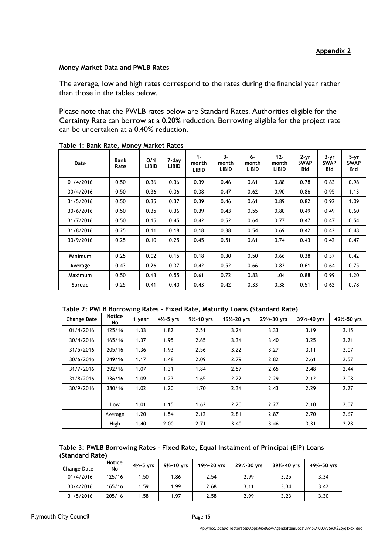#### **Money Market Data and PWLB Rates**

The average, low and high rates correspond to the rates during the financial year rather than those in the tables below.

Please note that the PWLB rates below are Standard Rates. Authorities eligible for the Certainty Rate can borrow at a 0.20% reduction. Borrowing eligible for the project rate can be undertaken at a 0.40% reduction.

| Date           | <b>Bank</b><br>Rate | O/N<br><b>LIBID</b> | 7-day<br>LIBID | $1 -$<br>month<br><b>LIBID</b> | $3-$<br>month<br><b>LIBID</b> | $6-$<br>month<br><b>LIBID</b> | $12 -$<br>month<br><b>LIBID</b> | $2 - yr$<br><b>SWAP</b><br>Bid | 3-yr<br><b>SWAP</b><br>Bid | 5-yr<br><b>SWAP</b><br><b>Bid</b> |
|----------------|---------------------|---------------------|----------------|--------------------------------|-------------------------------|-------------------------------|---------------------------------|--------------------------------|----------------------------|-----------------------------------|
| 01/4/2016      | 0.50                | 0.36                | 0.36           | 0.39                           | 0.46                          | 0.61                          | 0.88                            | 0.78                           | 0.83                       | 0.98                              |
| 30/4/2016      | 0.50                | 0.36                | 0.36           | 0.38                           | 0.47                          | 0.62                          | 0.90                            | 0.86                           | 0.95                       | 1.13                              |
| 31/5/2016      | 0.50                | 0.35                | 0.37           | 0.39                           | 0.46                          | 0.61                          | 0.89                            | 0.82                           | 0.92                       | 1.09                              |
| 30/6/2016      | 0.50                | 0.35                | 0.36           | 0.39                           | 0.43                          | 0.55                          | 0.80                            | 0.49                           | 0.49                       | 0.60                              |
| 31/7/2016      | 0.50                | 0.15                | 0.45           | 0.42                           | 0.52                          | 0.64                          | 0.77                            | 0.47                           | 0.47                       | 0.54                              |
| 31/8/2016      | 0.25                | 0.11                | 0.18           | 0.18                           | 0.38                          | 0.54                          | 0.69                            | 0.42                           | 0.42                       | 0.48                              |
| 30/9/2016      | 0.25                | 0.10                | 0.25           | 0.45                           | 0.51                          | 0.61                          | 0.74                            | 0.43                           | 0.42                       | 0.47                              |
|                |                     |                     |                |                                |                               |                               |                                 |                                |                            |                                   |
| <b>Minimum</b> | 0.25                | 0.02                | 0.15           | 0.18                           | 0.30                          | 0.50                          | 0.66                            | 0.38                           | 0.37                       | 0.42                              |
| Average        | 0.43                | 0.26                | 0.37           | 0.42                           | 0.52                          | 0.66                          | 0.83                            | 0.61                           | 0.64                       | 0.75                              |
| <b>Maximum</b> | 0.50                | 0.43                | 0.55           | 0.61                           | 0.72                          | 0.83                          | 1.04                            | 0.88                           | 0.99                       | 1.20                              |
| Spread         | 0.25                | 0.41                | 0.40           | 0.43                           | 0.42                          | 0.33                          | 0.38                            | 0.51                           | 0.62                       | 0.78                              |

**Table 1: Bank Rate, Money Market Rates**

| Table 2: PWLB Borrowing Rates - Fixed Rate, Maturity Loans (Standard Rate) |  |  |
|----------------------------------------------------------------------------|--|--|
|                                                                            |  |  |

| <b>Change Date</b> | <b>Notice</b><br>No | 1 year | $4\frac{1}{2} - 5$ yrs | $9\frac{1}{2} - 10$ yrs | 191/2-20 yrs | 291/2-30 yrs | 391/2-40 yrs | 491/2-50 yrs |
|--------------------|---------------------|--------|------------------------|-------------------------|--------------|--------------|--------------|--------------|
| 01/4/2016          | 125/16              | 1.33   | 1.82                   | 2.51                    | 3.24         | 3.33         | 3.19         | 3.15         |
| 30/4/2016          | 165/16              | 1.37   | 1.95                   | 2.65                    | 3.34         | 3.40         | 3.25         | 3.21         |
| 31/5/2016          | 205/16              | 1.36   | 1.93                   | 2.56                    | 3.22         | 3.27         | 3.11         | 3.07         |
| 30/6/2016          | 249/16              | 1.17   | 1.48                   | 2.09                    | 2.79         | 2.82         | 2.61         | 2.57         |
| 31/7/2016          | 292/16              | 1.07   | 1.31                   | 1.84                    | 2.57         | 2.65         | 2.48         | 2.44         |
| 31/8/2016          | 336/16              | 1.09   | 1.23                   | 1.65                    | 2.22         | 2.29         | 2.12         | 2.08         |
| 30/9/2016          | 380/16              | 1.02   | 1.20                   | 1.70                    | 2.34         | 2.43         | 2.29         | 2.27         |
|                    |                     |        |                        |                         |              |              |              |              |
|                    | Low                 | 1.01   | 1.15                   | 1.62                    | 2.20         | 2.27         | 2.10         | 2.07         |
|                    | Average             | 1.20   | 1.54                   | 2.12                    | 2.81         | 2.87         | 2.70         | 2.67         |
|                    | High                | 1.40   | 2.00                   | 2.71                    | 3.40         | 3.46         | 3.31         | 3.28         |

| Table 3: PWLB Borrowing Rates - Fixed Rate, Equal Instalment of Principal (EIP) Loans |  |
|---------------------------------------------------------------------------------------|--|
| (Standard Rate)                                                                       |  |

| <b>Change Date</b> | <b>Notice</b><br>No | $4\frac{1}{2} - 5$ yrs | $9\frac{1}{2} - 10$ vrs | 191/2-20 vrs | 291/2-30 yrs | 391/2-40 vrs | 491/2-50 yrs |
|--------------------|---------------------|------------------------|-------------------------|--------------|--------------|--------------|--------------|
| 01/4/2016          | 125/16              | 1.50                   | 1.86                    | 2.54         | 2.99         | 3.25         | 3.34         |
| 30/4/2016          | 165/16              | 1.59                   | 1.99                    | 2.68         | 3.11         | 3.34         | 3.42         |
| 31/5/2016          | 205/16              | 1.58                   | 1.97                    | 2.58         | 2.99         | 3.23         | 3.30         |